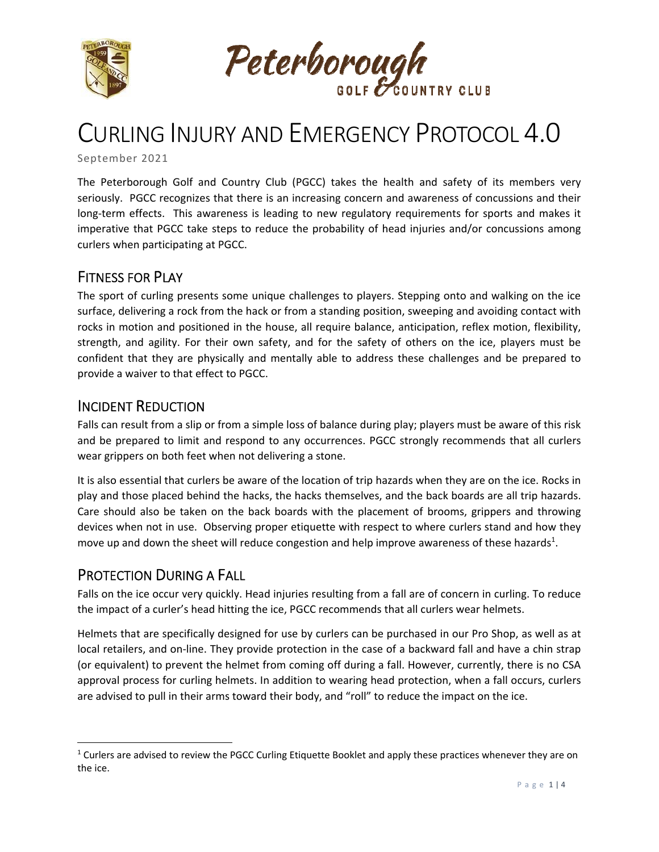



# CURLING INJURY AND EMERGENCY PROTOCOL 4.0

September 2021

The Peterborough Golf and Country Club (PGCC) takes the health and safety of its members very seriously. PGCC recognizes that there is an increasing concern and awareness of concussions and their long-term effects. This awareness is leading to new regulatory requirements for sports and makes it imperative that PGCC take steps to reduce the probability of head injuries and/or concussions among curlers when participating at PGCC.

# FITNESS FOR PLAY

The sport of curling presents some unique challenges to players. Stepping onto and walking on the ice surface, delivering a rock from the hack or from a standing position, sweeping and avoiding contact with rocks in motion and positioned in the house, all require balance, anticipation, reflex motion, flexibility, strength, and agility. For their own safety, and for the safety of others on the ice, players must be confident that they are physically and mentally able to address these challenges and be prepared to provide a waiver to that effect to PGCC.

## INCIDENT REDUCTION

Falls can result from a slip or from a simple loss of balance during play; players must be aware of this risk and be prepared to limit and respond to any occurrences. PGCC strongly recommends that all curlers wear grippers on both feet when not delivering a stone.

It is also essential that curlers be aware of the location of trip hazards when they are on the ice. Rocks in play and those placed behind the hacks, the hacks themselves, and the back boards are all trip hazards. Care should also be taken on the back boards with the placement of brooms, grippers and throwing devices when not in use. Observing proper etiquette with respect to where curlers stand and how they move up and down the sheet will reduce congestion and help improve awareness of these hazards<sup>1</sup>.

## PROTECTION DURING A FALL

Falls on the ice occur very quickly. Head injuries resulting from a fall are of concern in curling. To reduce the impact of a curler's head hitting the ice, PGCC recommends that all curlers wear helmets.

Helmets that are specifically designed for use by curlers can be purchased in our Pro Shop, as well as at local retailers, and on‐line. They provide protection in the case of a backward fall and have a chin strap (or equivalent) to prevent the helmet from coming off during a fall. However, currently, there is no CSA approval process for curling helmets. In addition to wearing head protection, when a fall occurs, curlers are advised to pull in their arms toward their body, and "roll" to reduce the impact on the ice.

 $1$  Curlers are advised to review the PGCC Curling Etiquette Booklet and apply these practices whenever they are on the ice.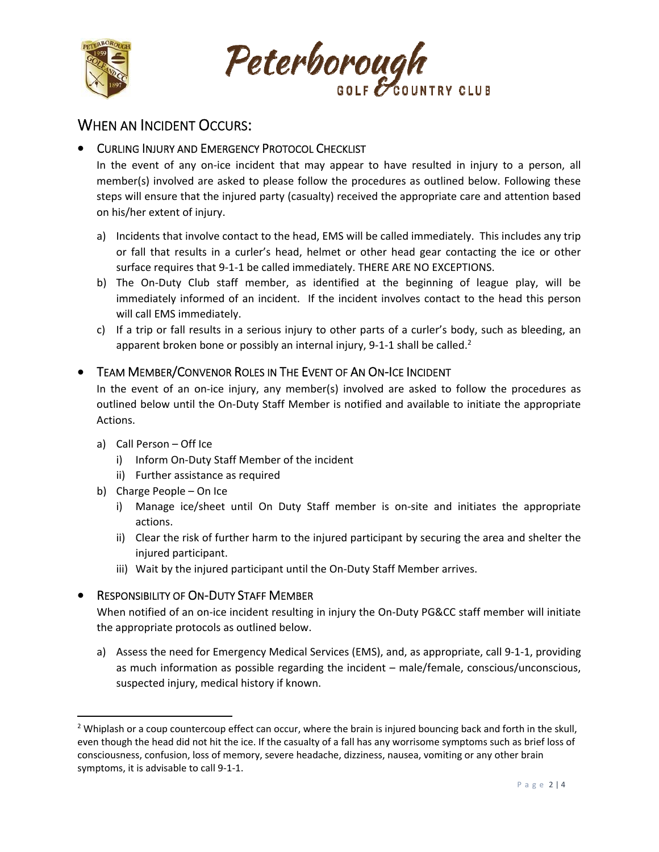



# WHEN AN INCIDENT OCCURS:

## **• CURLING INJURY AND EMERGENCY PROTOCOL CHECKLIST**

In the event of any on-ice incident that may appear to have resulted in injury to a person, all member(s) involved are asked to please follow the procedures as outlined below. Following these steps will ensure that the injured party (casualty) received the appropriate care and attention based on his/her extent of injury.

- a) Incidents that involve contact to the head, EMS will be called immediately. This includes any trip or fall that results in a curler's head, helmet or other head gear contacting the ice or other surface requires that 9‐1‐1 be called immediately. THERE ARE NO EXCEPTIONS.
- b) The On-Duty Club staff member, as identified at the beginning of league play, will be immediately informed of an incident. If the incident involves contact to the head this person will call EMS immediately.
- c) If a trip or fall results in a serious injury to other parts of a curler's body, such as bleeding, an apparent broken bone or possibly an internal injury, 9-1-1 shall be called.<sup>2</sup>

### **• TEAM MEMBER/CONVENOR ROLES IN THE EVENT OF AN ON-ICE INCIDENT**

In the event of an on‐ice injury, any member(s) involved are asked to follow the procedures as outlined below until the On‐Duty Staff Member is notified and available to initiate the appropriate Actions.

- a) Call Person Off Ice
	- i) Inform On‐Duty Staff Member of the incident
	- ii) Further assistance as required
- b) Charge People On Ice
	- i) Manage ice/sheet until On Duty Staff member is on-site and initiates the appropriate actions.
	- ii) Clear the risk of further harm to the injured participant by securing the area and shelter the injured participant.
	- iii) Wait by the injured participant until the On-Duty Staff Member arrives.

### RESPONSIBILITY OF ON‐DUTY STAFF MEMBER

When notified of an on-ice incident resulting in injury the On-Duty PG&CC staff member will initiate the appropriate protocols as outlined below.

a) Assess the need for Emergency Medical Services (EMS), and, as appropriate, call 9‐1‐1, providing as much information as possible regarding the incident – male/female, conscious/unconscious, suspected injury, medical history if known.

<sup>&</sup>lt;sup>2</sup> Whiplash or a coup countercoup effect can occur, where the brain is injured bouncing back and forth in the skull, even though the head did not hit the ice. If the casualty of a fall has any worrisome symptoms such as brief loss of consciousness, confusion, loss of memory, severe headache, dizziness, nausea, vomiting or any other brain symptoms, it is advisable to call 9‐1‐1.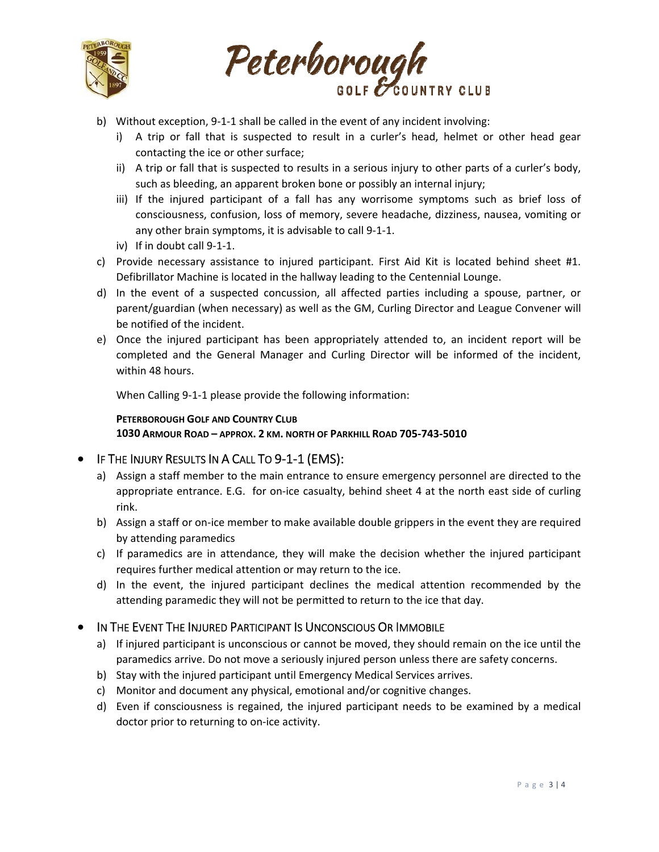



- b) Without exception, 9‐1‐1 shall be called in the event of any incident involving:
	- i) A trip or fall that is suspected to result in a curler's head, helmet or other head gear contacting the ice or other surface;
	- ii) A trip or fall that is suspected to results in a serious injury to other parts of a curler's body, such as bleeding, an apparent broken bone or possibly an internal injury;
	- iii) If the injured participant of a fall has any worrisome symptoms such as brief loss of consciousness, confusion, loss of memory, severe headache, dizziness, nausea, vomiting or any other brain symptoms, it is advisable to call 9‐1‐1.
	- iv) If in doubt call 9‐1‐1.
- c) Provide necessary assistance to injured participant. First Aid Kit is located behind sheet #1. Defibrillator Machine is located in the hallway leading to the Centennial Lounge.
- d) In the event of a suspected concussion, all affected parties including a spouse, partner, or parent/guardian (when necessary) as well as the GM, Curling Director and League Convener will be notified of the incident.
- e) Once the injured participant has been appropriately attended to, an incident report will be completed and the General Manager and Curling Director will be informed of the incident, within 48 hours.

When Calling 9‐1‐1 please provide the following information:

#### **PETERBOROUGH GOLF AND COUNTRY CLUB**

**1030 ARMOUR ROAD – APPROX. 2 KM. NORTH OF PARKHILL ROAD 705‐743‐5010** 

#### IF THE INJURY RESULTS IN A CALL TO 9‐1‐1 (EMS):

- a) Assign a staff member to the main entrance to ensure emergency personnel are directed to the appropriate entrance. E.G. for on-ice casualty, behind sheet 4 at the north east side of curling rink.
- b) Assign a staff or on-ice member to make available double grippers in the event they are required by attending paramedics
- c) If paramedics are in attendance, they will make the decision whether the injured participant requires further medical attention or may return to the ice.
- d) In the event, the injured participant declines the medical attention recommended by the attending paramedic they will not be permitted to return to the ice that day.

#### $\bullet$  In The Event The Injured Participant Is Unconscious Or Immobile

- a) If injured participant is unconscious or cannot be moved, they should remain on the ice until the paramedics arrive. Do not move a seriously injured person unless there are safety concerns.
- b) Stay with the injured participant until Emergency Medical Services arrives.
- c) Monitor and document any physical, emotional and/or cognitive changes.
- d) Even if consciousness is regained, the injured participant needs to be examined by a medical doctor prior to returning to on‐ice activity.